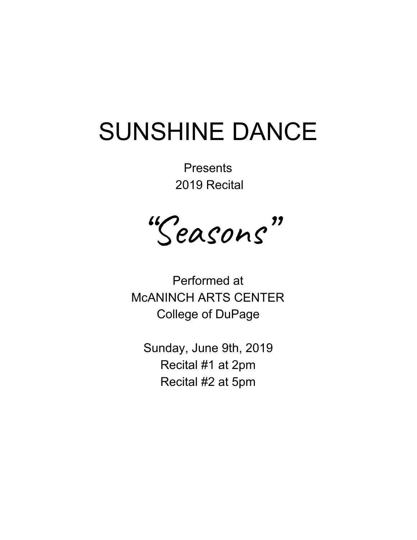# SUNSHINE DANCE

**Presents** 2019 Recital

"Seasons "

Performed at McANINCH ARTS CENTER College of DuPage

Sunday, June 9th, 2019 Recital #1 at 2pm Recital #2 at 5pm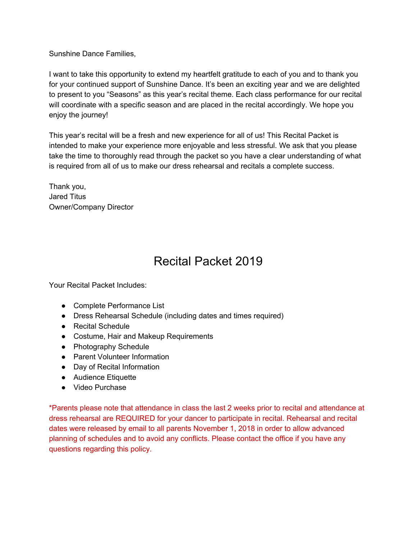Sunshine Dance Families,

I want to take this opportunity to extend my heartfelt gratitude to each of you and to thank you for your continued support of Sunshine Dance. It's been an exciting year and we are delighted to present to you "Seasons" as this year's recital theme. Each class performance for our recital will coordinate with a specific season and are placed in the recital accordingly. We hope you enjoy the journey!

This year's recital will be a fresh and new experience for all of us! This Recital Packet is intended to make your experience more enjoyable and less stressful. We ask that you please take the time to thoroughly read through the packet so you have a clear understanding of what is required from all of us to make our dress rehearsal and recitals a complete success.

Thank you, Jared Titus Owner/Company Director

## Recital Packet 2019

Your Recital Packet Includes:

- Complete Performance List
- Dress Rehearsal Schedule (including dates and times required)
- Recital Schedule
- Costume, Hair and Makeup Requirements
- Photography Schedule
- Parent Volunteer Information
- Day of Recital Information
- Audience Etiquette
- Video Purchase

\*Parents please note that attendance in class the last 2 weeks prior to recital and attendance at dress rehearsal are REQUIRED for your dancer to participate in recital. Rehearsal and recital dates were released by email to all parents November 1, 2018 in order to allow advanced planning of schedules and to avoid any conflicts. Please contact the office if you have any questions regarding this policy.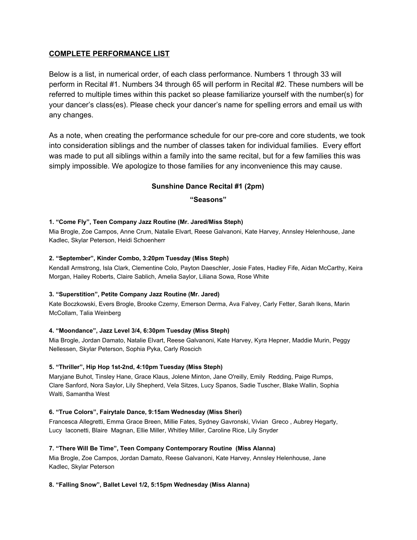## **COMPLETE PERFORMANCE LIST**

Below is a list, in numerical order, of each class performance. Numbers 1 through 33 will perform in Recital #1. Numbers 34 through 65 will perform in Recital #2. These numbers will be referred to multiple times within this packet so please familiarize yourself with the number(s) for your dancer's class(es). Please check your dancer's name for spelling errors and email us with any changes.

As a note, when creating the performance schedule for our pre-core and core students, we took into consideration siblings and the number of classes taken for individual families. Every effort was made to put all siblings within a family into the same recital, but for a few families this was simply impossible. We apologize to those families for any inconvenience this may cause.

## **Sunshine Dance Recital #1 (2pm)**

#### **"Seasons"**

#### **1. "Come Fly", Teen Company Jazz Routine (Mr. Jared/Miss Steph)**

Mia Brogle, Zoe Campos, Anne Crum, Natalie Elvart, Reese Galvanoni, Kate Harvey, Annsley Helenhouse, Jane Kadlec, Skylar Peterson, Heidi Schoenherr

#### **2. "September", Kinder Combo, 3:20pm Tuesday (Miss Steph)**

Kendall Armstrong, Isla Clark, Clementine Colo, Payton Daeschler, Josie Fates, Hadley Fife, Aidan McCarthy, Keira Morgan, Hailey Roberts, Claire Sablich, Amelia Saylor, Liliana Sowa, Rose White

#### **3. "Superstition", Petite Company Jazz Routine (Mr. Jared)**

Kate Boczkowski, Evers Brogle, Brooke Czerny, Emerson Derma, Ava Falvey, Carly Fetter, Sarah Ikens, Marin McCollam, Talia Weinberg

#### **4. "Moondance", Jazz Level 3/4, 6:30pm Tuesday (Miss Steph)**

Mia Brogle, Jordan Damato, Natalie Elvart, Reese Galvanoni, Kate Harvey, Kyra Hepner, Maddie Murin, Peggy Nellessen, Skylar Peterson, Sophia Pyka, Carly Roscich

#### **5. "Thriller", Hip Hop 1st-2nd, 4:10pm Tuesday (Miss Steph)**

Maryjane Buhot, Tinsley Hane, Grace Klaus, Jolene Minton, Jane O'reilly, Emily Redding, Paige Rumps, Clare Sanford, Nora Saylor, Lily Shepherd, Vela Sitzes, Lucy Spanos, Sadie Tuscher, Blake Wallin, Sophia Walti, Samantha West

#### **6. "True Colors", Fairytale Dance, 9:15am Wednesday (Miss Sheri)**

Francesca Allegretti, Emma Grace Breen, Millie Fates, Sydney Gavronski, Vivian Greco , Aubrey Hegarty, Lucy Iaconetti, Blaire Magnan, Ellie Miller, Whitley Miller, Caroline Rice, Lily Snyder

#### **7. "There Will Be Time", Teen Company Contemporary Routine (Miss Alanna)**

Mia Brogle, Zoe Campos, Jordan Damato, Reese Galvanoni, Kate Harvey, Annsley Helenhouse, Jane Kadlec, Skylar Peterson

**8. "Falling Snow", Ballet Level 1/2, 5:15pm Wednesday (Miss Alanna)**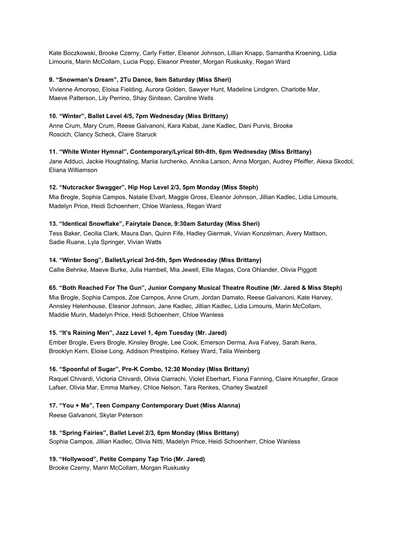Kate Boczkowski, Brooke Czerny, Carly Fetter, Eleanor Johnson, Lillian Knapp, Samantha Kroening, Lidia Limouris, Marin McCollam, Lucia Popp, Eleanor Prester, Morgan Ruskusky, Regan Ward

#### **9. "Snowman's Dream", 2Tu Dance, 9am Saturday (Miss Sheri)**

Vivienne Amoroso, Eloisa Fielding, Aurora Golden, Sawyer Hunt, Madeline Lindgren, Charlotte Mar, Maeve Patterson, Lily Perrino, Shay Sinitean, Caroline Wells

#### **10. "Winter", Ballet Level 4/5, 7pm Wednesday (Miss Brittany)**

Anne Crum, Mary Crum, Reese Galvanoni, Kara Kabat, Jane Kadlec, Dani Purvis, Brooke Roscich, Clancy Scheck, Claire Staruck

#### **11. "White Winter Hymnal", Contemporary/Lyrical 6th-8th, 6pm Wednesday (Miss Brittany)**

Jane Adduci, Jackie Houghtaling, Mariia Iurchenko, Annika Larson, Anna Morgan, Audrey Pfeiffer, Alexa Skodol, Eliana Williamson

#### **12. "Nutcracker Swagger", Hip Hop Level 2/3, 5pm Monday (Miss Steph)**

Mia Brogle, Sophia Campos, Natalie Elvart, Maggie Gross, Eleanor Johnson, Jillian Kadlec, Lidia Limouris, Madelyn Price, Heidi Schoenherr, Chloe Wanless, Regan Ward

#### **13. "Identical Snowflake", Fairytale Dance, 9:30am Saturday (Miss Sheri)**

Tess Baker, Cecilia Clark, Maura Dan, Quinn Fife, Hadley Giermak, Vivian Konzelman, Avery Mattson, Sadie Ruane, Lyla Springer, Vivian Watts

#### **14. "Winter Song", Ballet/Lyrical 3rd-5th, 5pm Wednesday (Miss Brittany)**

Callie Behnke, Maeve Burke, Julia Hambell, Mia Jewell, Ellie Magas, Cora Ohlander, Olivia Piggott

#### **65. "Both Reached For The Gun", Junior Company Musical Theatre Routine (Mr. Jared & Miss Steph)**

Mia Brogle, Sophia Campos, Zoe Campos, Anne Crum, Jordan Damato, Reese Galvanoni, Kate Harvey, Annsley Helenhouse, Eleanor Johnson, Jane Kadlec, Jillian Kadlec, Lidia Limouris, Marin McCollam, Maddie Murin, Madelyn Price, Heidi Schoenherr, Chloe Wanless

#### **15. "It's Raining Men", Jazz Level 1, 4pm Tuesday (Mr. Jared)**

Ember Brogle, Evers Brogle, Kinsley Brogle, Lee Cook, Emerson Derma, Ava Falvey, Sarah Ikens, Brooklyn Kern, Eloise Long, Addison Prestipino, Kelsey Ward, Talia Weinberg

#### **16. "Spoonful of Sugar", Pre-K Combo, 12:30 Monday (Miss Brittany)**

Raquel Chivardi, Victoria Chivardi, Olivia Ciarrachi, Violet Eberhart, Fiona Fanning, Claire Knuepfer, Grace Lafser, Olivia Mar, Emma Markey, Chloe Nelson, Tara Renkes, Charley Swatzell

#### **17. "You + Me", Teen Company Contemporary Duet (Miss Alanna)**

Reese Galvanoni, Skylar Peterson

#### **18. "Spring Fairies", Ballet Level 2/3, 6pm Monday (Miss Brittany)**

Sophia Campos, Jillian Kadlec, Olivia Nitti, Madelyn Price, Heidi Schoenherr, Chloe Wanless

#### **19. "Hollywood", Petite Company Tap Trio (Mr. Jared)**

Brooke Czerny, Marin McCollam, Morgan Ruskusky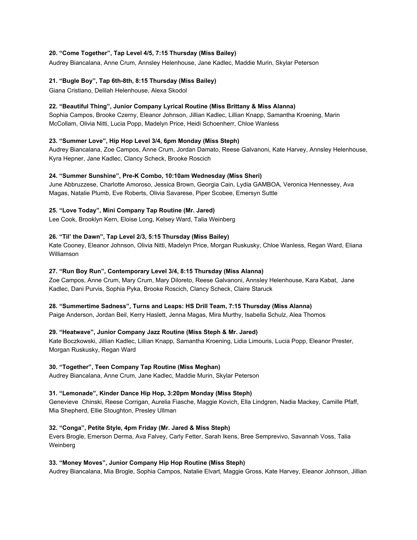#### **20. "Come Together", Tap Level 4/5, 7:15 Thursday (Miss Bailey)**

Audrey Biancalana, Anne Crum, Annsley Helenhouse, Jane Kadlec, Maddie Murin, Skylar Peterson

#### **21. "Bugle Boy", Tap 6th-8th, 8:15 Thursday (Miss Bailey)**

Giana Cristiano, Delilah Helenhouse, Alexa Skodol

#### **22. "Beautiful Thing", Junior Company Lyrical Routine (Miss Brittany & Miss Alanna)**

Sophia Campos, Brooke Czerny, Eleanor Johnson, Jillian Kadlec, Lillian Knapp, Samantha Kroening, Marin McCollam, Olivia Nitti, Lucia Popp, Madelyn Price, Heidi Schoenherr, Chloe Wanless

#### **23. "Summer Love", Hip Hop Level 3/4, 6pm Monday (Miss Steph)**

Audrey Biancalana, Zoe Campos, Anne Crum, Jordan Damato, Reese Galvanoni, Kate Harvey, Annsley Helenhouse, Kyra Hepner, Jane Kadlec, Clancy Scheck, Brooke Roscich

#### **24. "Summer Sunshine", Pre-K Combo, 10:10am Wednesday (Miss Sheri)**

June Abbruzzese, Charlotte Amoroso, Jessica Brown, Georgia Cain, Lydia GAMBOA, Veronica Hennessey, Ava Magas, Natalie Plumb, Eve Roberts, Olivia Savarese, Piper Scobee, Emersyn Suttle

#### **25. "Love Today", Mini Company Tap Routine (Mr. Jared)**

Lee Cook, Brooklyn Kern, Eloise Long, Kelsey Ward, Talia Weinberg

#### **26. "Til' the Dawn", Tap Level 2/3, 5:15 Thursday (Miss Bailey)**

Kate Cooney, Eleanor Johnson, Olivia Nitti, Madelyn Price, Morgan Ruskusky, Chloe Wanless, Regan Ward, Eliana Williamson

#### **27. "Run Boy Run", Contemporary Level 3/4, 8:15 Thursday (Miss Alanna)**

Zoe Campos, Anne Crum, Mary Crum, Mary Diloreto, Reese Galvanoni, Annsley Helenhouse, Kara Kabat, Jane Kadlec, Dani Purvis, Sophia Pyka, Brooke Roscich, Clancy Scheck, Claire Staruck

#### **28. "Summertime Sadness", Turns and Leaps: HS Drill Team, 7:15 Thursday (Miss Alanna)**

Paige Anderson, Jordan Beil, Kerry Haslett, Jenna Magas, Mira Murthy, Isabella Schulz, Alea Thomos

#### **29. "Heatwave", Junior Company Jazz Routine (Miss Steph & Mr. Jared)**

Kate Boczkowski, Jillian Kadlec, Lillian Knapp, Samantha Kroening, Lidia Limouris, Lucia Popp, Eleanor Prester, Morgan Ruskusky, Regan Ward

#### **30. "Together", Teen Company Tap Routine (Miss Meghan)**

Audrey Biancalana, Anne Crum, Jane Kadlec, Maddie Murin, Skylar Peterson

#### **31. "Lemonade", Kinder Dance Hip Hop, 3:20pm Monday (Miss Steph)**

Genevieve Chinski, Reese Corrigan, Aurelia Fiasche, Maggie Kovich, Ella Lindgren, Nadia Mackey, Camille Pfaff, Mia Shepherd, Ellie Stoughton, Presley Ullman

#### **32. "Conga", Petite Style, 4pm Friday (Mr. Jared & Miss Steph)**

Evers Brogle, Emerson Derma, Ava Falvey, Carly Fetter, Sarah Ikens, Bree Semprevivo, Savannah Voss, Talia Weinberg

#### **33. "Money Moves", Junior Company Hip Hop Routine (Miss Steph)**

Audrey Biancalana, Mia Brogle, Sophia Campos, Natalie Elvart, Maggie Gross, Kate Harvey, Eleanor Johnson, Jillian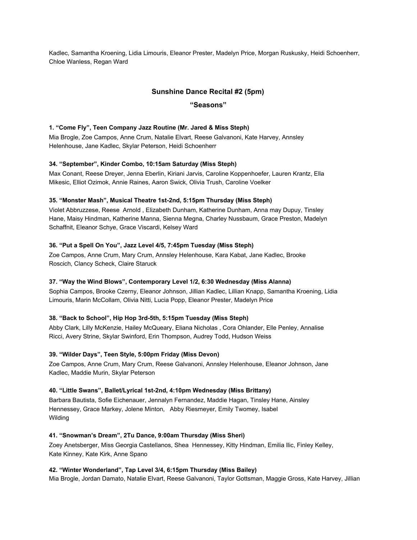Kadlec, Samantha Kroening, Lidia Limouris, Eleanor Prester, Madelyn Price, Morgan Ruskusky, Heidi Schoenherr, Chloe Wanless, Regan Ward

#### **Sunshine Dance Recital #2 (5pm)**

#### **"Seasons"**

#### **1. "Come Fly", Teen Company Jazz Routine (Mr. Jared & Miss Steph)**

Mia Brogle, Zoe Campos, Anne Crum, Natalie Elvart, Reese Galvanoni, Kate Harvey, Annsley Helenhouse, Jane Kadlec, Skylar Peterson, Heidi Schoenherr

#### **34. "September", Kinder Combo, 10:15am Saturday (Miss Steph)**

Max Conant, Reese Dreyer, Jenna Eberlin, Kiriani Jarvis, Caroline Koppenhoefer, Lauren Krantz, Ella Mikesic, Elliot Ozimok, Annie Raines, Aaron Swick, Olivia Trush, Caroline Voelker

#### **35. "Monster Mash", Musical Theatre 1st-2nd, 5:15pm Thursday (Miss Steph)**

Violet Abbruzzese, Reese Arnold , Elizabeth Dunham, Katherine Dunham, Anna may Dupuy, Tinsley Hane, Maisy Hindman, Katherine Manna, Sienna Megna, Charley Nussbaum, Grace Preston, Madelyn Schaffnit, Eleanor Schye, Grace Viscardi, Kelsey Ward

#### **36. "Put a Spell On You", Jazz Level 4/5, 7:45pm Tuesday (Miss Steph)**

Zoe Campos, Anne Crum, Mary Crum, Annsley Helenhouse, Kara Kabat, Jane Kadlec, Brooke Roscich, Clancy Scheck, Claire Staruck

#### **37. "Way the Wind Blows", Contemporary Level 1/2, 6:30 Wednesday (Miss Alanna)**

Sophia Campos, Brooke Czerny, Eleanor Johnson, Jillian Kadlec, Lillian Knapp, Samantha Kroening, Lidia Limouris, Marin McCollam, Olivia Nitti, Lucia Popp, Eleanor Prester, Madelyn Price

#### **38. "Back to School", Hip Hop 3rd-5th, 5:15pm Tuesday (Miss Steph)**

Abby Clark, Lilly McKenzie, Hailey McQueary, Eliana Nicholas , Cora Ohlander, Elle Penley, Annalise Ricci, Avery Strine, Skylar Swinford, Erin Thompson, Audrey Todd, Hudson Weiss

#### **39. "Wilder Days", Teen Style, 5:00pm Friday (Miss Devon)**

Zoe Campos, Anne Crum, Mary Crum, Reese Galvanoni, Annsley Helenhouse, Eleanor Johnson, Jane Kadlec, Maddie Murin, Skylar Peterson

#### **40. "Little Swans", Ballet/Lyrical 1st-2nd, 4:10pm Wednesday (Miss Brittany)**

Barbara Bautista, Sofie Eichenauer, Jennalyn Fernandez, Maddie Hagan, Tinsley Hane, Ainsley Hennessey, Grace Markey, Jolene Minton, Abby Riesmeyer, Emily Twomey, Isabel Wilding

#### **41. "Snowman's Dream", 2Tu Dance, 9:00am Thursday (Miss Sheri)**

Zoey Anetsberger, Miss Georgia Castellanos, Shea Hennessey, Kitty Hindman, Emilia Ilic, Finley Kelley, Kate Kinney, Kate Kirk, Anne Spano

#### **42. "Winter Wonderland", Tap Level 3/4, 6:15pm Thursday (Miss Bailey)**

Mia Brogle, Jordan Damato, Natalie Elvart, Reese Galvanoni, Taylor Gottsman, Maggie Gross, Kate Harvey, Jillian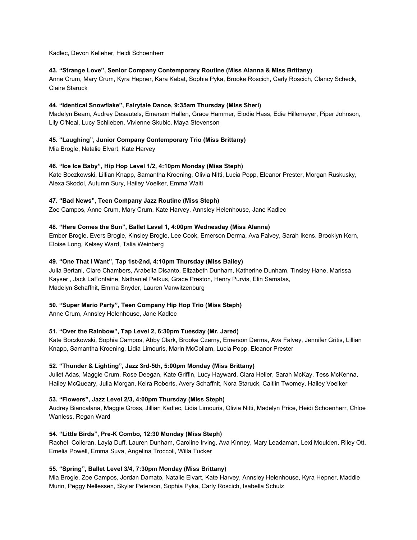Kadlec, Devon Kelleher, Heidi Schoenherr

#### **43. "Strange Love", Senior Company Contemporary Routine (Miss Alanna & Miss Brittany)**

Anne Crum, Mary Crum, Kyra Hepner, Kara Kabat, Sophia Pyka, Brooke Roscich, Carly Roscich, Clancy Scheck, Claire Staruck

#### **44. "Identical Snowflake", Fairytale Dance, 9:35am Thursday (Miss Sheri)**

Madelyn Beam, Audrey Desautels, Emerson Hallen, Grace Hammer, Elodie Hass, Edie Hillemeyer, Piper Johnson, Lily O'Neal, Lucy Schlieben, Vivienne Skubic, Maya Stevenson

#### **45. "Laughing", Junior Company Contemporary Trio (Miss Brittany)**

Mia Brogle, Natalie Elvart, Kate Harvey

#### **46. "Ice Ice Baby", Hip Hop Level 1/2, 4:10pm Monday (Miss Steph)**

Kate Boczkowski, Lillian Knapp, Samantha Kroening, Olivia Nitti, Lucia Popp, Eleanor Prester, Morgan Ruskusky, Alexa Skodol, Autumn Sury, Hailey Voelker, Emma Walti

#### **47. "Bad News", Teen Company Jazz Routine (Miss Steph)**

Zoe Campos, Anne Crum, Mary Crum, Kate Harvey, Annsley Helenhouse, Jane Kadlec

#### **48. "Here Comes the Sun", Ballet Level 1, 4:00pm Wednesday (Miss Alanna)**

Ember Brogle, Evers Brogle, Kinsley Brogle, Lee Cook, Emerson Derma, Ava Falvey, Sarah Ikens, Brooklyn Kern, Eloise Long, Kelsey Ward, Talia Weinberg

#### **49. "One That I Want", Tap 1st-2nd, 4:10pm Thursday (Miss Bailey)**

Julia Bertani, Clare Chambers, Arabella Disanto, Elizabeth Dunham, Katherine Dunham, Tinsley Hane, Marissa Kayser , Jack LaFontaine, Nathaniel Petkus, Grace Preston, Henry Purvis, Elin Samatas, Madelyn Schaffnit, Emma Snyder, Lauren Vanwitzenburg

#### **50. "Super Mario Party", Teen Company Hip Hop Trio (Miss Steph)**

Anne Crum, Annsley Helenhouse, Jane Kadlec

#### **51. "Over the Rainbow", Tap Level 2, 6:30pm Tuesday (Mr. Jared)**

Kate Boczkowski, Sophia Campos, Abby Clark, Brooke Czerny, Emerson Derma, Ava Falvey, Jennifer Gritis, Lillian Knapp, Samantha Kroening, Lidia Limouris, Marin McCollam, Lucia Popp, Eleanor Prester

#### **52. "Thunder & Lighting", Jazz 3rd-5th, 5:00pm Monday (Miss Brittany)**

Juliet Adas, Maggie Crum, Rose Deegan, Kate Griffin, Lucy Hayward, Clara Heller, Sarah McKay, Tess McKenna, Hailey McQueary, Julia Morgan, Keira Roberts, Avery Schaffnit, Nora Staruck, Caitlin Twomey, Hailey Voelker

#### **53. "Flowers", Jazz Level 2/3, 4:00pm Thursday (Miss Steph)**

Audrey Biancalana, Maggie Gross, Jillian Kadlec, Lidia Limouris, Olivia Nitti, Madelyn Price, Heidi Schoenherr, Chloe Wanless, Regan Ward

#### **54. "Little Birds", Pre-K Combo, 12:30 Monday (Miss Steph)**

Rachel Colleran, Layla Duff, Lauren Dunham, Caroline Irving, Ava Kinney, Mary Leadaman, Lexi Moulden, Riley Ott, Emelia Powell, Emma Suva, Angelina Troccoli, Willa Tucker

#### **55. "Spring", Ballet Level 3/4, 7:30pm Monday (Miss Brittany)**

Mia Brogle, Zoe Campos, Jordan Damato, Natalie Elvart, Kate Harvey, Annsley Helenhouse, Kyra Hepner, Maddie Murin, Peggy Nellessen, Skylar Peterson, Sophia Pyka, Carly Roscich, Isabella Schulz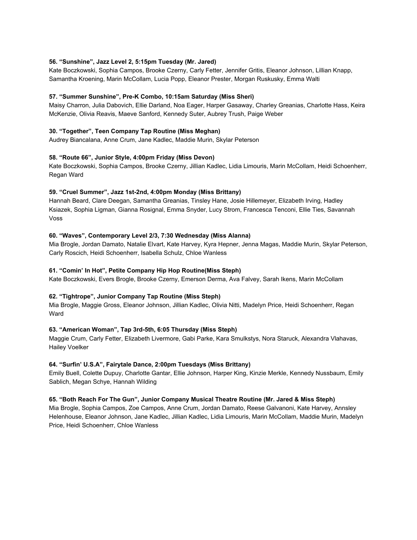#### **56. "Sunshine", Jazz Level 2, 5:15pm Tuesday (Mr. Jared)**

Kate Boczkowski, Sophia Campos, Brooke Czerny, Carly Fetter, Jennifer Gritis, Eleanor Johnson, Lillian Knapp, Samantha Kroening, Marin McCollam, Lucia Popp, Eleanor Prester, Morgan Ruskusky, Emma Walti

#### **57. "Summer Sunshine", Pre-K Combo, 10:15am Saturday (Miss Sheri)**

Maisy Charron, Julia Dabovich, Ellie Darland, Noa Eager, Harper Gasaway, Charley Greanias, Charlotte Hass, Keira McKenzie, Olivia Reavis, Maeve Sanford, Kennedy Suter, Aubrey Trush, Paige Weber

#### **30. "Together", Teen Company Tap Routine (Miss Meghan)**

Audrey Biancalana, Anne Crum, Jane Kadlec, Maddie Murin, Skylar Peterson

#### **58. "Route 66", Junior Style, 4:00pm Friday (Miss Devon)**

Kate Boczkowski, Sophia Campos, Brooke Czerny, Jillian Kadlec, Lidia Limouris, Marin McCollam, Heidi Schoenherr, Regan Ward

#### **59. "Cruel Summer", Jazz 1st-2nd, 4:00pm Monday (Miss Brittany)**

Hannah Beard, Clare Deegan, Samantha Greanias, Tinsley Hane, Josie Hillemeyer, Elizabeth Irving, Hadley Ksiazek, Sophia Ligman, Gianna Rosignal, Emma Snyder, Lucy Strom, Francesca Tenconi, Ellie Ties, Savannah Voss

#### **60. "Waves", Contemporary Level 2/3, 7:30 Wednesday (Miss Alanna)**

Mia Brogle, Jordan Damato, Natalie Elvart, Kate Harvey, Kyra Hepner, Jenna Magas, Maddie Murin, Skylar Peterson, Carly Roscich, Heidi Schoenherr, Isabella Schulz, Chloe Wanless

#### **61. "Comin' In Hot", Petite Company Hip Hop Routine(Miss Steph)**

Kate Boczkowski, Evers Brogle, Brooke Czerny, Emerson Derma, Ava Falvey, Sarah Ikens, Marin McCollam

#### **62. "Tightrope", Junior Company Tap Routine (Miss Steph)**

Mia Brogle, Maggie Gross, Eleanor Johnson, Jillian Kadlec, Olivia Nitti, Madelyn Price, Heidi Schoenherr, Regan **Ward** 

#### **63. "American Woman", Tap 3rd-5th, 6:05 Thursday (Miss Steph)**

Maggie Crum, Carly Fetter, Elizabeth Livermore, Gabi Parke, Kara Smulkstys, Nora Staruck, Alexandra Vlahavas, Hailey Voelker

#### **64. "Surfin' U.S.A", Fairytale Dance, 2:00pm Tuesdays (Miss Brittany)**

Emily Buell, Colette Dupuy, Charlotte Gantar, Ellie Johnson, Harper King, Kinzie Merkle, Kennedy Nussbaum, Emily Sablich, Megan Schye, Hannah Wilding

#### **65. "Both Reach For The Gun", Junior Company Musical Theatre Routine (Mr. Jared & Miss Steph)**

Mia Brogle, Sophia Campos, Zoe Campos, Anne Crum, Jordan Damato, Reese Galvanoni, Kate Harvey, Annsley Helenhouse, Eleanor Johnson, Jane Kadlec, Jillian Kadlec, Lidia Limouris, Marin McCollam, Maddie Murin, Madelyn Price, Heidi Schoenherr, Chloe Wanless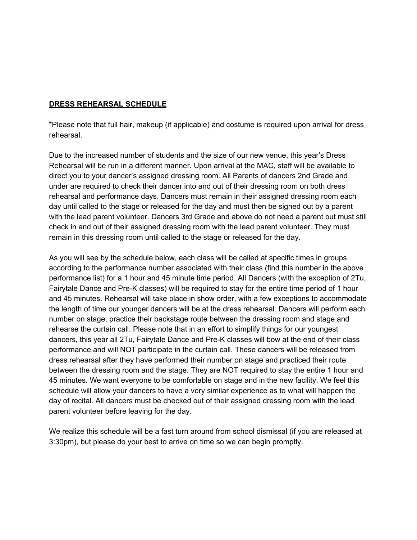## **DRESS REHEARSAL SCHEDULE**

\*Please note that full hair, makeup (if applicable) and costume is required upon arrival for dress rehearsal.

Due to the increased number of students and the size of our new venue, this year's Dress Rehearsal will be run in a different manner. Upon arrival at the MAC, staff will be available to direct you to your dancer's assigned dressing room. All Parents of dancers 2nd Grade and under are required to check their dancer into and out of their dressing room on both dress rehearsal and performance days. Dancers must remain in their assigned dressing room each day until called to the stage or released for the day and must then be signed out by a parent with the lead parent volunteer. Dancers 3rd Grade and above do not need a parent but must still check in and out of their assigned dressing room with the lead parent volunteer. They must remain in this dressing room until called to the stage or released for the day.

As you will see by the schedule below, each class will be called at specific times in groups according to the performance number associated with their class (find this number in the above performance list) for a 1 hour and 45 minute time period. All Dancers (with the exception of 2Tu, Fairytale Dance and Pre-K classes) will be required to stay for the entire time period of 1 hour and 45 minutes. Rehearsal will take place in show order, with a few exceptions to accommodate the length of time our younger dancers will be at the dress rehearsal. Dancers will perform each number on stage, practice their backstage route between the dressing room and stage and rehearse the curtain call. Please note that in an effort to simplify things for our youngest dancers, this year all 2Tu, Fairytale Dance and Pre-K classes will bow at the end of their class performance and will NOT participate in the curtain call. These dancers will be released from dress rehearsal after they have performed their number on stage and practiced their route between the dressing room and the stage. They are NOT required to stay the entire 1 hour and 45 minutes. We want everyone to be comfortable on stage and in the new facility. We feel this schedule will allow your dancers to have a very similar experience as to what will happen the day of recital. All dancers must be checked out of their assigned dressing room with the lead parent volunteer before leaving for the day.

We realize this schedule will be a fast turn around from school dismissal (if you are released at 3:30pm), but please do your best to arrive on time so we can begin promptly.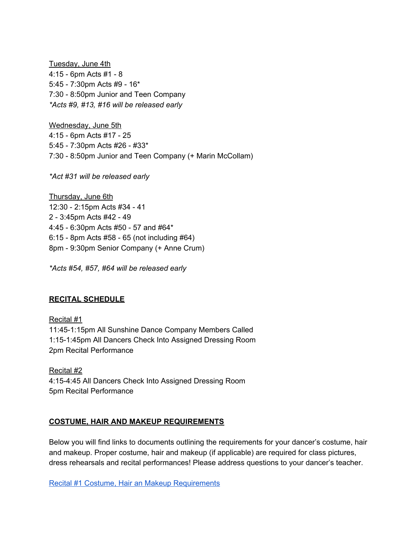Tuesday, June 4th 4:15 - 6pm Acts #1 - 8 5:45 - 7:30pm Acts #9 - 16\* 7:30 - 8:50pm Junior and Teen Company *\*Acts #9, #13, #16 will be released early*

Wednesday, June 5th 4:15 - 6pm Acts #17 - 25 5:45 - 7:30pm Acts #26 - #33\* 7:30 - 8:50pm Junior and Teen Company (+ Marin McCollam)

*\*Act #31 will be released early*

Thursday, June 6th 12:30 - 2:15pm Acts #34 - 41 2 - 3:45pm Acts #42 - 49 4:45 - 6:30pm Acts #50 - 57 and #64\* 6:15 - 8pm Acts #58 - 65 (not including #64) 8pm - 9:30pm Senior Company (+ Anne Crum)

*\*Acts #54, #57, #64 will be released early*

## **RECITAL SCHEDULE**

Recital #1 11:45-1:15pm All Sunshine Dance Company Members Called 1:15-1:45pm All Dancers Check Into Assigned Dressing Room 2pm Recital Performance

Recital #2 4:15-4:45 All Dancers Check Into Assigned Dressing Room 5pm Recital Performance

## **COSTUME, HAIR AND MAKEUP REQUIREMENTS**

Below you will find links to documents outlining the requirements for your dancer's costume, hair and makeup. Proper costume, hair and makeup (if applicable) are required for class pictures, dress rehearsals and recital performances! Please address questions to your dancer's teacher.

Recital #1 Costume, Hair an Makeup [Requirements](https://docs.wixstatic.com/ugd/4e4f9e_92a25423596942f7b5ad44cc5906eed7.pdf)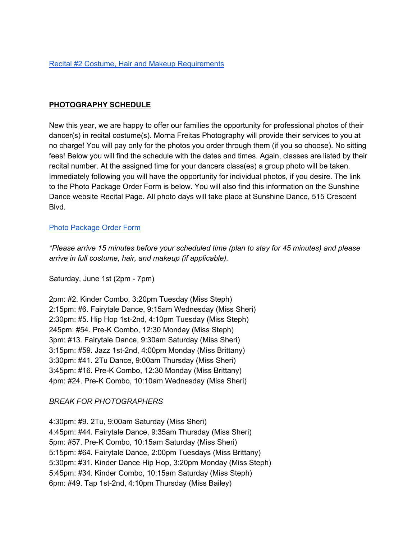## **PHOTOGRAPHY SCHEDULE**

New this year, we are happy to offer our families the opportunity for professional photos of their dancer(s) in recital costume(s). Morna Freitas Photography will provide their services to you at no charge! You will pay only for the photos you order through them (if you so choose). No sitting fees! Below you will find the schedule with the dates and times. Again, classes are listed by their recital number. At the assigned time for your dancers class(es) a group photo will be taken. Immediately following you will have the opportunity for individual photos, if you desire. The link to the Photo Package Order Form is below. You will also find this information on the Sunshine Dance website Recital Page. All photo days will take place at Sunshine Dance, 515 Crescent Blvd.

## Photo [Package](https://docs.wixstatic.com/ugd/4e4f9e_b3bc0f4ddbf34adb9213ad8bea83b4ea.pdf) Order Form

*\*Please arrive 15 minutes before your scheduled time (plan to stay for 45 minutes) and please arrive in full costume, hair, and makeup (if applicable).*

## Saturday, June 1st (2pm - 7pm)

2pm: #2. Kinder Combo, 3:20pm Tuesday (Miss Steph) 2:15pm: #6. Fairytale Dance, 9:15am Wednesday (Miss Sheri) 2:30pm: #5. Hip Hop 1st-2nd, 4:10pm Tuesday (Miss Steph) 245pm: #54. Pre-K Combo, 12:30 Monday (Miss Steph) 3pm: #13. Fairytale Dance, 9:30am Saturday (Miss Sheri) 3:15pm: #59. Jazz 1st-2nd, 4:00pm Monday (Miss Brittany) 3:30pm: #41. 2Tu Dance, 9:00am Thursday (Miss Sheri) 3:45pm: #16. Pre-K Combo, 12:30 Monday (Miss Brittany) 4pm: #24. Pre-K Combo, 10:10am Wednesday (Miss Sheri)

## *BREAK FOR PHOTOGRAPHERS*

4:30pm: #9. 2Tu, 9:00am Saturday (Miss Sheri) 4:45pm: #44. Fairytale Dance, 9:35am Thursday (Miss Sheri) 5pm: #57. Pre-K Combo, 10:15am Saturday (Miss Sheri) 5:15pm: #64. Fairytale Dance, 2:00pm Tuesdays (Miss Brittany) 5:30pm: #31. Kinder Dance Hip Hop, 3:20pm Monday (Miss Steph) 5:45pm: #34. Kinder Combo, 10:15am Saturday (Miss Steph) 6pm: #49. Tap 1st-2nd, 4:10pm Thursday (Miss Bailey)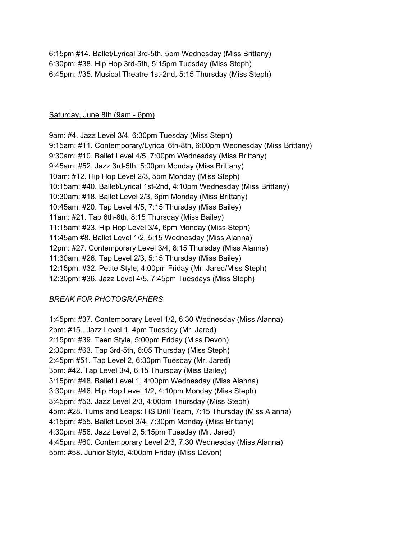6:15pm #14. Ballet/Lyrical 3rd-5th, 5pm Wednesday (Miss Brittany) 6:30pm: #38. Hip Hop 3rd-5th, 5:15pm Tuesday (Miss Steph) 6:45pm: #35. Musical Theatre 1st-2nd, 5:15 Thursday (Miss Steph)

## Saturday, June 8th (9am - 6pm)

9am: #4. Jazz Level 3/4, 6:30pm Tuesday (Miss Steph) 9:15am: #11. Contemporary/Lyrical 6th-8th, 6:00pm Wednesday (Miss Brittany) 9:30am: #10. Ballet Level 4/5, 7:00pm Wednesday (Miss Brittany) 9:45am: #52. Jazz 3rd-5th, 5:00pm Monday (Miss Brittany) 10am: #12. Hip Hop Level 2/3, 5pm Monday (Miss Steph) 10:15am: #40. Ballet/Lyrical 1st-2nd, 4:10pm Wednesday (Miss Brittany) 10:30am: #18. Ballet Level 2/3, 6pm Monday (Miss Brittany) 10:45am: #20. Tap Level 4/5, 7:15 Thursday (Miss Bailey) 11am: #21. Tap 6th-8th, 8:15 Thursday (Miss Bailey) 11:15am: #23. Hip Hop Level 3/4, 6pm Monday (Miss Steph) 11:45am #8. Ballet Level 1/2, 5:15 Wednesday (Miss Alanna) 12pm: #27. Contemporary Level 3/4, 8:15 Thursday (Miss Alanna) 11:30am: #26. Tap Level 2/3, 5:15 Thursday (Miss Bailey) 12:15pm: #32. Petite Style, 4:00pm Friday (Mr. Jared/Miss Steph) 12:30pm: #36. Jazz Level 4/5, 7:45pm Tuesdays (Miss Steph)

## *BREAK FOR PHOTOGRAPHERS*

1:45pm: #37. Contemporary Level 1/2, 6:30 Wednesday (Miss Alanna) 2pm: #15.. Jazz Level 1, 4pm Tuesday (Mr. Jared) 2:15pm: #39. Teen Style, 5:00pm Friday (Miss Devon) 2:30pm: #63. Tap 3rd-5th, 6:05 Thursday (Miss Steph) 2:45pm #51. Tap Level 2, 6:30pm Tuesday (Mr. Jared) 3pm: #42. Tap Level 3/4, 6:15 Thursday (Miss Bailey) 3:15pm: #48. Ballet Level 1, 4:00pm Wednesday (Miss Alanna) 3:30pm: #46. Hip Hop Level 1/2, 4:10pm Monday (Miss Steph) 3:45pm: #53. Jazz Level 2/3, 4:00pm Thursday (Miss Steph) 4pm: #28. Turns and Leaps: HS Drill Team, 7:15 Thursday (Miss Alanna) 4:15pm: #55. Ballet Level 3/4, 7:30pm Monday (Miss Brittany) 4:30pm: #56. Jazz Level 2, 5:15pm Tuesday (Mr. Jared) 4:45pm: #60. Contemporary Level 2/3, 7:30 Wednesday (Miss Alanna) 5pm: #58. Junior Style, 4:00pm Friday (Miss Devon)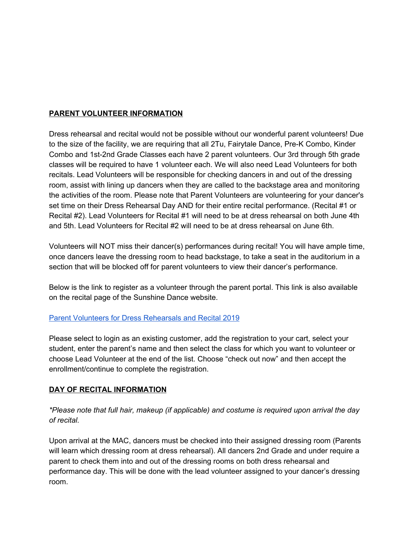## **PARENT VOLUNTEER INFORMATION**

Dress rehearsal and recital would not be possible without our wonderful parent volunteers! Due to the size of the facility, we are requiring that all 2Tu, Fairytale Dance, Pre-K Combo, Kinder Combo and 1st-2nd Grade Classes each have 2 parent volunteers. Our 3rd through 5th grade classes will be required to have 1 volunteer each. We will also need Lead Volunteers for both recitals. Lead Volunteers will be responsible for checking dancers in and out of the dressing room, assist with lining up dancers when they are called to the backstage area and monitoring the activities of the room. Please note that Parent Volunteers are volunteering for your dancer's set time on their Dress Rehearsal Day AND for their entire recital performance. (Recital #1 or Recital #2). Lead Volunteers for Recital #1 will need to be at dress rehearsal on both June 4th and 5th. Lead Volunteers for Recital #2 will need to be at dress rehearsal on June 6th.

Volunteers will NOT miss their dancer(s) performances during recital! You will have ample time, once dancers leave the dressing room to head backstage, to take a seat in the auditorium in a section that will be blocked off for parent volunteers to view their dancer's performance.

Below is the link to register as a volunteer through the parent portal. This link is also available on the recital page of the Sunshine Dance website.

## Parent Volunteers for Dress [Rehearsals](https://app.jackrabbitclass.com/regevent.asp?xID=3256234&orgid=530524&PortalSession=) and Recital 2019

Please select to login as an existing customer, add the registration to your cart, select your student, enter the parent's name and then select the class for which you want to volunteer or choose Lead Volunteer at the end of the list. Choose "check out now" and then accept the enrollment/continue to complete the registration.

## **DAY OF RECITAL INFORMATION**

*\*Please note that full hair, makeup (if applicable) and costume is required upon arrival the day of recital.*

Upon arrival at the MAC, dancers must be checked into their assigned dressing room (Parents will learn which dressing room at dress rehearsal). All dancers 2nd Grade and under require a parent to check them into and out of the dressing rooms on both dress rehearsal and performance day. This will be done with the lead volunteer assigned to your dancer's dressing room.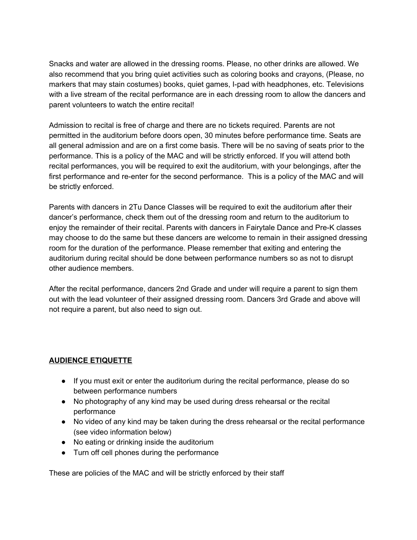Snacks and water are allowed in the dressing rooms. Please, no other drinks are allowed. We also recommend that you bring quiet activities such as coloring books and crayons, (Please, no markers that may stain costumes) books, quiet games, I-pad with headphones, etc. Televisions with a live stream of the recital performance are in each dressing room to allow the dancers and parent volunteers to watch the entire recital!

Admission to recital is free of charge and there are no tickets required. Parents are not permitted in the auditorium before doors open, 30 minutes before performance time. Seats are all general admission and are on a first come basis. There will be no saving of seats prior to the performance. This is a policy of the MAC and will be strictly enforced. If you will attend both recital performances, you will be required to exit the auditorium, with your belongings, after the first performance and re-enter for the second performance. This is a policy of the MAC and will be strictly enforced.

Parents with dancers in 2Tu Dance Classes will be required to exit the auditorium after their dancer's performance, check them out of the dressing room and return to the auditorium to enjoy the remainder of their recital. Parents with dancers in Fairytale Dance and Pre-K classes may choose to do the same but these dancers are welcome to remain in their assigned dressing room for the duration of the performance. Please remember that exiting and entering the auditorium during recital should be done between performance numbers so as not to disrupt other audience members.

After the recital performance, dancers 2nd Grade and under will require a parent to sign them out with the lead volunteer of their assigned dressing room. Dancers 3rd Grade and above will not require a parent, but also need to sign out.

## **AUDIENCE ETIQUETTE**

- If you must exit or enter the auditorium during the recital performance, please do so between performance numbers
- No photography of any kind may be used during dress rehearsal or the recital performance
- No video of any kind may be taken during the dress rehearsal or the recital performance (see video information below)
- No eating or drinking inside the auditorium
- Turn off cell phones during the performance

These are policies of the MAC and will be strictly enforced by their staff